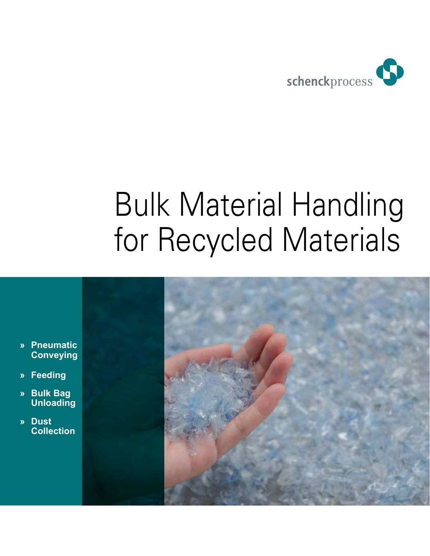

# Bulk Material Handling for Recycled Materials

- **» Pneumatic Conveying**
- **» Feeding**
- **» Bulk Bag Unloading**
- **» Dust Collection**

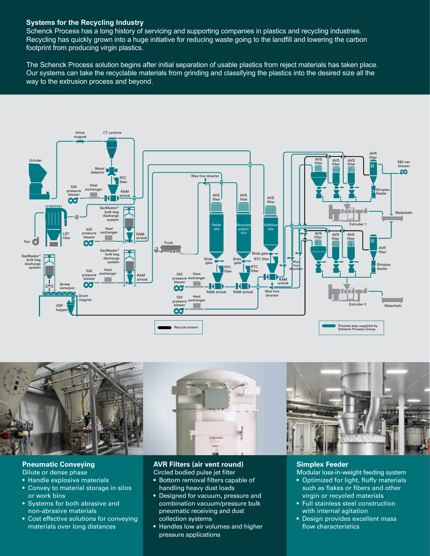## **Systems for the Recycling Industry**

Schenck Process has a long history of servicing and supporting companies in plastics and recycling industries. Recycling has quickly grown into a huge initiative for reducing waste going to the landfill and lowering the carbon footprint from producing virgin plastics.

The Schenck Process solution begins after initial separation of usable plastics from reject materials has taken place. Our systems can take the recyclable materials from grinding and classifying the plastics into the desired size all the way to the extrusion process and beyond.





#### **Pneumatic Conveying**

- Dilute or dense phase
- Handle explosive materials
- Convey to material storage in silos or work bins
- Systems for both abrasive and non-abrasive materials
- Cost effective solutions for conveying materials over long distances

# **AVR Filters (air vent round)**

Circled bodied pulse jet filter

- Bottom removal filters capable of handling heavy dust loads
- Designed for vacuum, pressure and combination vacuum/pressure bulk pneumatic receiving and dust collection systems
- Handles low air volumes and higher pressure applications

#### **Simplex Feeder**

- Modular loss-in-weight feeding system
- Optimized for light, fluffy materials such as flakes or fibers and other virgin or recycled materials
- Full stainless steel construction with internal agitation
- Design provides excellent mass flow characteristics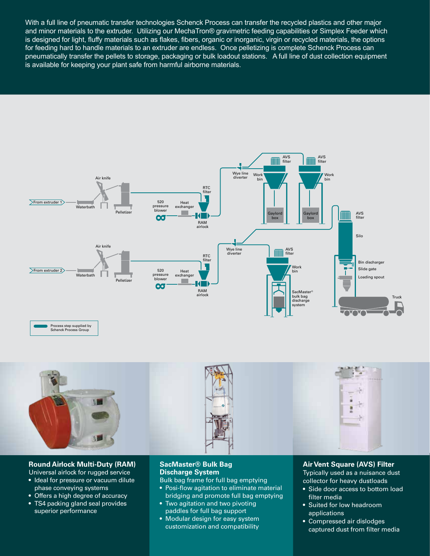With a full line of pneumatic transfer technologies Schenck Process can transfer the recycled plastics and other major and minor materials to the extruder. Utilizing our MechaTron® gravimetric feeding capabilities or Simplex Feeder which is designed for light, fluffy materials such as flakes, fibers, organic or inorganic, virgin or recycled materials, the options for feeding hard to handle materials to an extruder are endless. Once pelletizing is complete Schenck Process can pneumatically transfer the pellets to storage, packaging or bulk loadout stations. A full line of dust collection equipment is available for keeping your plant safe from harmful airborne materials.







### **Round Airlock Multi-Duty (RAM)**

- Universal airlock for rugged service
- Ideal for pressure or vacuum dilute phase conveying systems
- Offers a high degree of accuracy
- TS4 packing gland seal provides
- superior performance

#### **SacMaster® Bulk Bag Discharge System**

Bulk bag frame for full bag emptying

- Posi-flow agitation to eliminate material bridging and promote full bag emptying
- Two agitation and two pivoting paddles for full bag support
- Modular design for easy system customization and compatibility

### **Air Vent Square (AVS) Filter**

Typically used as a nuisance dust collector for heavy dustloads

- Side door access to bottom load filter media
- Suited for low headroom applications
- Compressed air dislodges captured dust from filter media